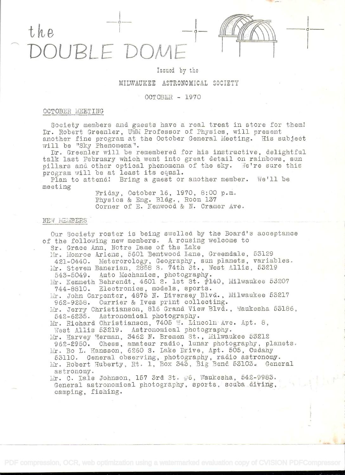the BI E DOMI

# Issued by the

# MILWAUKEE ASTRONOMICAL SOCIETY

# OCTOBER -  $1970$

## OCTOBER MEETING

Society members and guests have a real treat in store for them! Dr. Robert Greenler, UWM Professor of Physics, will present another fine program at the October General Meeting. His subject will be "Sky Phenomena".

Dr. Greenler will be remembered for his instructive, delightful talk last February which went into great detail on rainbows, sun pillars and other optical phenomena of the sky. We're sure this program will be at least its equal.

Plan to attend! Bring a guest or another member. We'll be meeting

> Friday, October 16, 1970, 8:00 p.m. Physics & Eng. Bldg., Room 137 Corner of E. Kenwood & N. Cramer Ave.

### NEW MEMBERS

Our Society roster is being swelled by the Board's acceptance of the following new members. A rousing welcome to Sr. Grace Ann, Notre Dame of the Lake

Mr. Monroe Ariens, 5601 Bentwood Lane, Greendale, 53129 421-0440. Meterorology, Geography, sun planets, variables. Mr. Steven Banerian, 2858 S. 74th St., West Allis, 53219 543-5049. Auto Mechanics, photography.

Mr. Kenneth Behrendt, 4601 S. 1st St. #140, Milwaukee 53207 744-8810. Electronics, models, sports.

Mr. John Carpenter, 4875 N. Diversey Blvd., Milwaukee 53217 962-9258. Currier & Ives print collecting.

Mr. Jerry Christianson, 816 Grand View Blvd., Waukesha 53186, 542-6235. Astronomical photography.

Mr. Richard Christianson, 7405 W. Lincoln Ave. Apt. 8,

West Allis 53219. Astronomical photography.

Mr. Harvey Herman, 3462 N. Bremen St., Milwaukee 53212 962-2950. Chess, amateur radio, lunar photography, planets. Mr. Bo L. Hansson, 6260 S. Lake Drive, Apt. 505, Cudahy 53110. General observing, photography, radio astronomy. Mr. Robert Huberty, Rt. 1, Box 343, Big Bend 53103. General astronomy.

Mr. C. Dale Johnson, 157 3rd St.  $\frac{1}{10}$ 6, Waukesha, 542-9983. General astronomical photography, sports, scuba diving, camping, fishing.